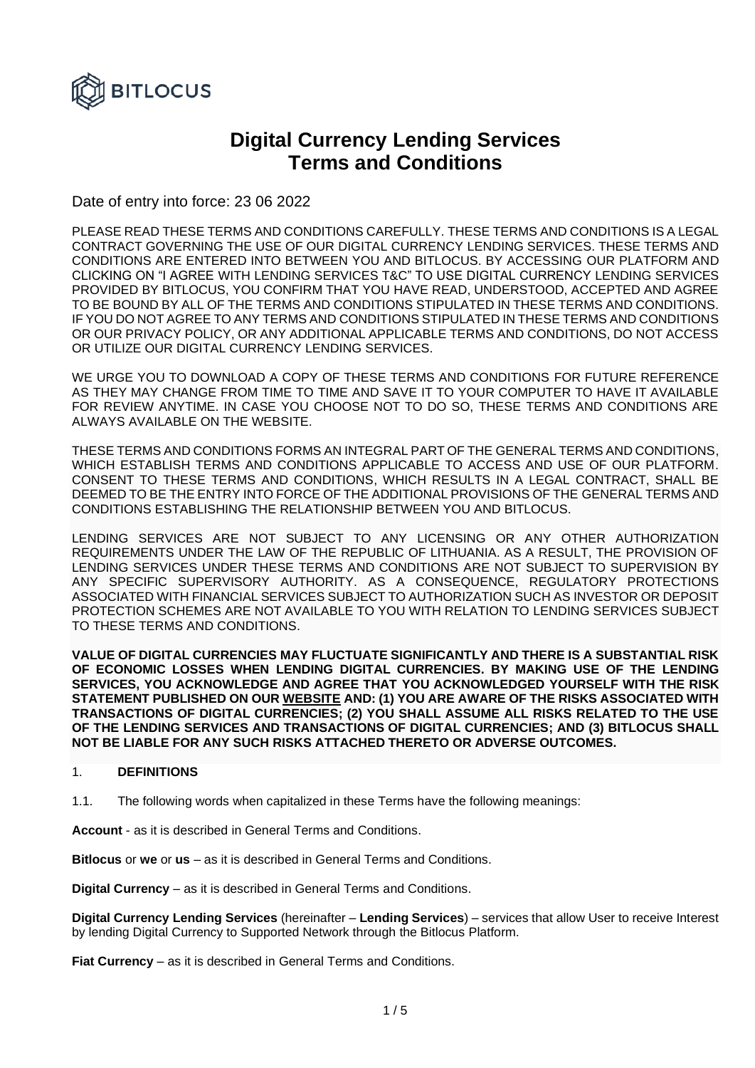

# **Digital Currency Lending Services Terms and Conditions**

Date of entry into force: 23 06 2022

PLEASE READ THESE TERMS AND CONDITIONS CAREFULLY. THESE TERMS AND CONDITIONS IS A LEGAL CONTRACT GOVERNING THE USE OF OUR DIGITAL CURRENCY LENDING SERVICES. THESE TERMS AND CONDITIONS ARE ENTERED INTO BETWEEN YOU AND BITLOCUS. BY ACCESSING OUR PLATFORM AND CLICKING ON "I AGREE WITH LENDING SERVICES T&C" TO USE DIGITAL CURRENCY LENDING SERVICES PROVIDED BY BITLOCUS, YOU CONFIRM THAT YOU HAVE READ, UNDERSTOOD, ACCEPTED AND AGREE TO BE BOUND BY ALL OF THE TERMS AND CONDITIONS STIPULATED IN THESE TERMS AND CONDITIONS. IF YOU DO NOT AGREE TO ANY TERMS AND CONDITIONS STIPULATED IN THESE TERMS AND CONDITIONS OR OUR PRIVACY POLICY, OR ANY ADDITIONAL APPLICABLE TERMS AND CONDITIONS, DO NOT ACCESS OR UTILIZE OUR DIGITAL CURRENCY LENDING SERVICES.

WE URGE YOU TO DOWNLOAD A COPY OF THESE TERMS AND CONDITIONS FOR FUTURE REFERENCE AS THEY MAY CHANGE FROM TIME TO TIME AND SAVE IT TO YOUR COMPUTER TO HAVE IT AVAILABLE FOR REVIEW ANYTIME. IN CASE YOU CHOOSE NOT TO DO SO, THESE TERMS AND CONDITIONS ARE ALWAYS AVAILABLE ON THE WEBSITE.

THESE TERMS AND CONDITIONS FORMS AN INTEGRAL PART OF THE GENERAL TERMS AND CONDITIONS, WHICH ESTABLISH TERMS AND CONDITIONS APPLICABLE TO ACCESS AND USE OF OUR PLATFORM. CONSENT TO THESE TERMS AND CONDITIONS, WHICH RESULTS IN A LEGAL CONTRACT, SHALL BE DEEMED TO BE THE ENTRY INTO FORCE OF THE ADDITIONAL PROVISIONS OF THE GENERAL TERMS AND CONDITIONS ESTABLISHING THE RELATIONSHIP BETWEEN YOU AND BITLOCUS.

LENDING SERVICES ARE NOT SUBJECT TO ANY LICENSING OR ANY OTHER AUTHORIZATION REQUIREMENTS UNDER THE LAW OF THE REPUBLIC OF LITHUANIA. AS A RESULT, THE PROVISION OF LENDING SERVICES UNDER THESE TERMS AND CONDITIONS ARE NOT SUBJECT TO SUPERVISION BY ANY SPECIFIC SUPERVISORY AUTHORITY. AS A CONSEQUENCE, REGULATORY PROTECTIONS ASSOCIATED WITH FINANCIAL SERVICES SUBJECT TO AUTHORIZATION SUCH AS INVESTOR OR DEPOSIT PROTECTION SCHEMES ARE NOT AVAILABLE TO YOU WITH RELATION TO LENDING SERVICES SUBJECT TO THESE TERMS AND CONDITIONS.

**VALUE OF DIGITAL CURRENCIES MAY FLUCTUATE SIGNIFICANTLY AND THERE IS A SUBSTANTIAL RISK OF ECONOMIC LOSSES WHEN LENDING DIGITAL CURRENCIES. BY MAKING USE OF THE LENDING SERVICES, YOU ACKNOWLEDGE AND AGREE THAT YOU ACKNOWLEDGED YOURSELF WITH THE RISK STATEMENT PUBLISHED ON OUR [WEBSITE](https://bitlocus.com/risk-warning) AND: (1) YOU ARE AWARE OF THE RISKS ASSOCIATED WITH TRANSACTIONS OF DIGITAL CURRENCIES; (2) YOU SHALL ASSUME ALL RISKS RELATED TO THE USE OF THE LENDING SERVICES AND TRANSACTIONS OF DIGITAL CURRENCIES; AND (3) BITLOCUS SHALL NOT BE LIABLE FOR ANY SUCH RISKS ATTACHED THERETO OR ADVERSE OUTCOMES.**

## 1. **DEFINITIONS**

1.1. The following words when capitalized in these Terms have the following meanings:

**Account** - as it is described in General Terms and Conditions.

**Bitlocus** or **we** or **us** – as it is described in General Terms and Conditions.

**Digital Currency** – as it is described in General Terms and Conditions.

**Digital Currency Lending Services** (hereinafter – **Lending Services**) – services that allow User to receive Interest by lending Digital Currency to Supported Network through the Bitlocus Platform.

**Fiat Currency** – as it is described in General Terms and Conditions.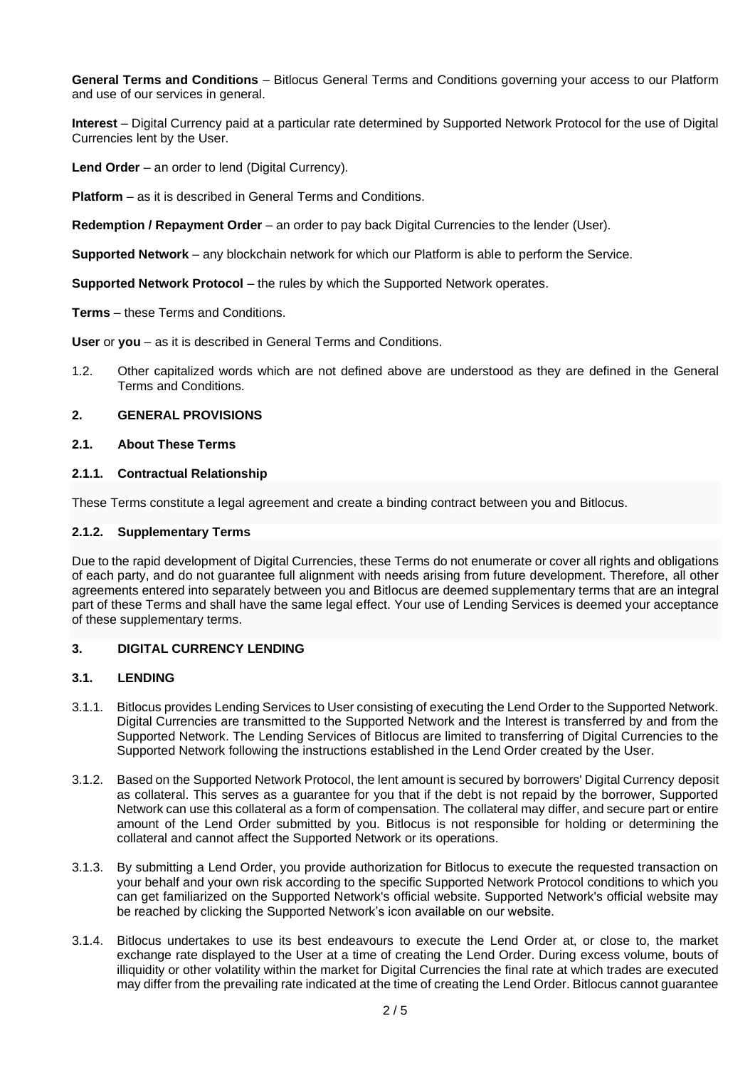**General Terms and Conditions** – Bitlocus General Terms and Conditions governing your access to our Platform and use of our services in general.

**Interest** – Digital Currency paid at a particular rate determined by Supported Network Protocol for the use of Digital Currencies lent by the User.

**Lend Order** – an order to lend (Digital Currency).

**Platform** – as it is described in General Terms and Conditions.

**Redemption / Repayment Order** – an order to pay back Digital Currencies to the lender (User).

**Supported Network** – any blockchain network for which our Platform is able to perform the Service.

**Supported Network Protocol** – the rules by which the Supported Network operates.

**Terms** – these Terms and Conditions.

**User** or **you** – as it is described in General Terms and Conditions.

1.2. Other capitalized words which are not defined above are understood as they are defined in the General Terms and Conditions.

#### **2. GENERAL PROVISIONS**

#### **2.1. About These Terms**

#### **2.1.1. Contractual Relationship**

These Terms constitute a legal agreement and create a binding contract between you and Bitlocus.

#### **2.1.2. Supplementary Terms**

Due to the rapid development of Digital Currencies, these Terms do not enumerate or cover all rights and obligations of each party, and do not guarantee full alignment with needs arising from future development. Therefore, all other agreements entered into separately between you and Bitlocus are deemed supplementary terms that are an integral part of these Terms and shall have the same legal effect. Your use of Lending Services is deemed your acceptance of these supplementary terms.

## **3. DIGITAL CURRENCY LENDING**

#### **3.1. LENDING**

- 3.1.1. Bitlocus provides Lending Services to User consisting of executing the Lend Order to the Supported Network. Digital Currencies are transmitted to the Supported Network and the Interest is transferred by and from the Supported Network. The Lending Services of Bitlocus are limited to transferring of Digital Currencies to the Supported Network following the instructions established in the Lend Order created by the User.
- 3.1.2. Based on the Supported Network Protocol, the lent amount is secured by borrowers' Digital Currency deposit as collateral. This serves as a guarantee for you that if the debt is not repaid by the borrower, Supported Network can use this collateral as a form of compensation. The collateral may differ, and secure part or entire amount of the Lend Order submitted by you. Bitlocus is not responsible for holding or determining the collateral and cannot affect the Supported Network or its operations.
- 3.1.3. By submitting a Lend Order, you provide authorization for Bitlocus to execute the requested transaction on your behalf and your own risk according to the specific Supported Network Protocol conditions to which you can get familiarized on the Supported Network's official website. Supported Network's official website may be reached by clicking the Supported Network's icon available on our website.
- 3.1.4. Bitlocus undertakes to use its best endeavours to execute the Lend Order at, or close to, the market exchange rate displayed to the User at a time of creating the Lend Order. During excess volume, bouts of illiquidity or other volatility within the market for Digital Currencies the final rate at which trades are executed may differ from the prevailing rate indicated at the time of creating the Lend Order. Bitlocus cannot guarantee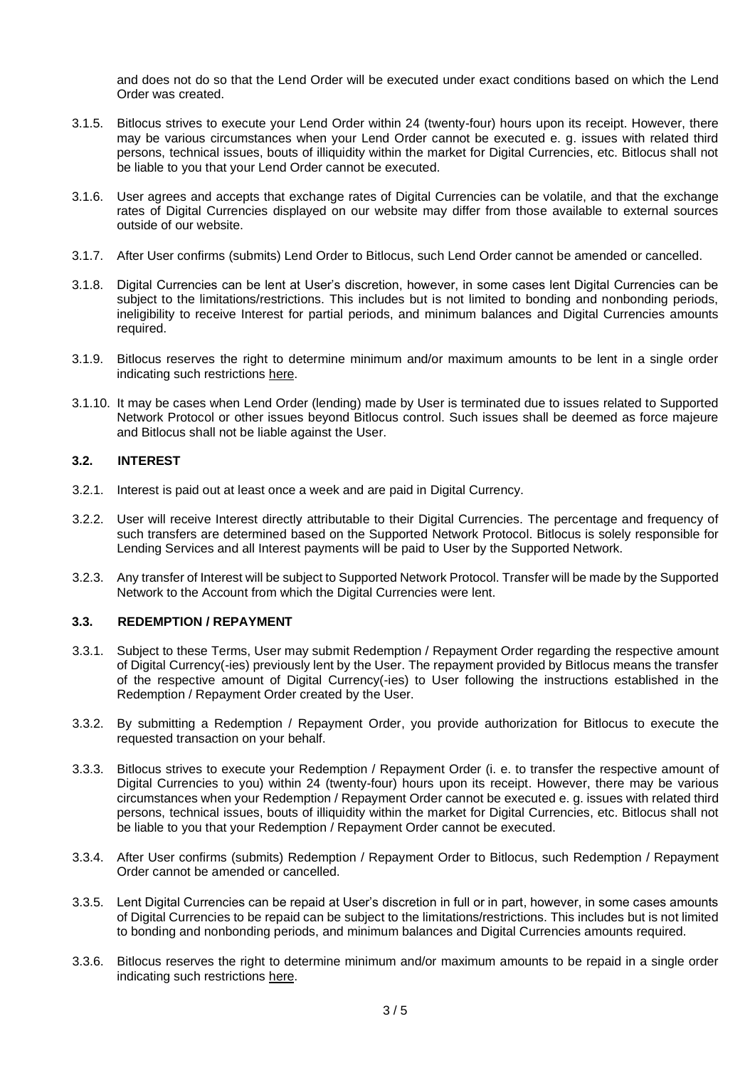and does not do so that the Lend Order will be executed under exact conditions based on which the Lend Order was created.

- 3.1.5. Bitlocus strives to execute your Lend Order within 24 (twenty-four) hours upon its receipt. However, there may be various circumstances when your Lend Order cannot be executed e. g. issues with related third persons, technical issues, bouts of illiquidity within the market for Digital Currencies, etc. Bitlocus shall not be liable to you that your Lend Order cannot be executed.
- 3.1.6. User agrees and accepts that exchange rates of Digital Currencies can be volatile, and that the exchange rates of Digital Currencies displayed on our website may differ from those available to external sources outside of our website.
- 3.1.7. After User confirms (submits) Lend Order to Bitlocus, such Lend Order cannot be amended or cancelled.
- 3.1.8. Digital Currencies can be lent at User's discretion, however, in some cases lent Digital Currencies can be subject to the limitations/restrictions. This includes but is not limited to bonding and nonbonding periods, ineligibility to receive Interest for partial periods, and minimum balances and Digital Currencies amounts required.
- 3.1.9. Bitlocus reserves the right to determine minimum and/or maximum amounts to be lent in a single order indicating such restrictions [here.](https://bitlocus.freshdesk.com/support/solutions/articles/43000009823-trading-and-payment-fees)
- 3.1.10. It may be cases when Lend Order (lending) made by User is terminated due to issues related to Supported Network Protocol or other issues beyond Bitlocus control. Such issues shall be deemed as force majeure and Bitlocus shall not be liable against the User.

## **3.2. INTEREST**

- 3.2.1. Interest is paid out at least once a week and are paid in Digital Currency.
- 3.2.2. User will receive Interest directly attributable to their Digital Currencies. The percentage and frequency of such transfers are determined based on the Supported Network Protocol. Bitlocus is solely responsible for Lending Services and all Interest payments will be paid to User by the Supported Network.
- 3.2.3. Any transfer of Interest will be subject to Supported Network Protocol. Transfer will be made by the Supported Network to the Account from which the Digital Currencies were lent.

## **3.3. REDEMPTION / REPAYMENT**

- 3.3.1. Subject to these Terms, User may submit Redemption / Repayment Order regarding the respective amount of Digital Currency(-ies) previously lent by the User. The repayment provided by Bitlocus means the transfer of the respective amount of Digital Currency(-ies) to User following the instructions established in the Redemption / Repayment Order created by the User.
- 3.3.2. By submitting a Redemption / Repayment Order, you provide authorization for Bitlocus to execute the requested transaction on your behalf.
- 3.3.3. Bitlocus strives to execute your Redemption / Repayment Order (i. e. to transfer the respective amount of Digital Currencies to you) within 24 (twenty-four) hours upon its receipt. However, there may be various circumstances when your Redemption / Repayment Order cannot be executed e. g. issues with related third persons, technical issues, bouts of illiquidity within the market for Digital Currencies, etc. Bitlocus shall not be liable to you that your Redemption / Repayment Order cannot be executed.
- 3.3.4. After User confirms (submits) Redemption / Repayment Order to Bitlocus, such Redemption / Repayment Order cannot be amended or cancelled.
- 3.3.5. Lent Digital Currencies can be repaid at User's discretion in full or in part, however, in some cases amounts of Digital Currencies to be repaid can be subject to the limitations/restrictions. This includes but is not limited to bonding and nonbonding periods, and minimum balances and Digital Currencies amounts required.
- 3.3.6. Bitlocus reserves the right to determine minimum and/or maximum amounts to be repaid in a single order indicating such restrictions [here.](https://bitlocus.freshdesk.com/support/solutions/articles/43000009823-trading-and-payment-fees)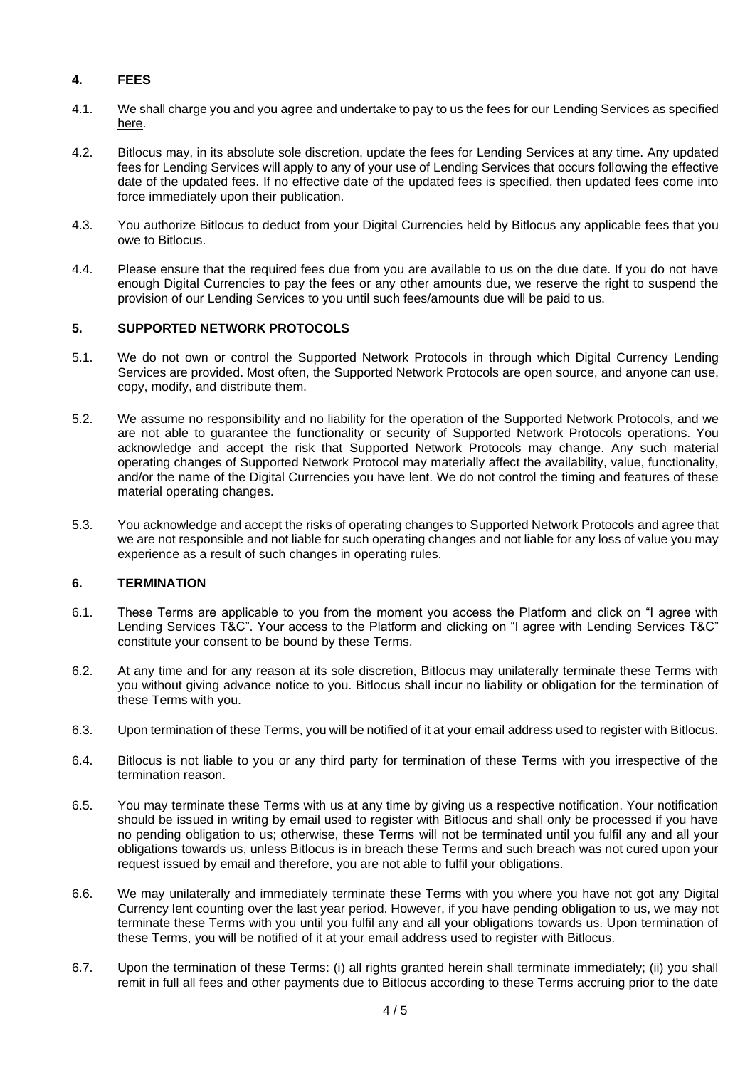# **4. FEES**

- 4.1. We shall charge you and you agree and undertake to pay to us the fees for our Lending Services as specified [here.](https://bitlocus.freshdesk.com/support/solutions/articles/43000009823-trading-and-payment-fees)
- 4.2. Bitlocus may, in its absolute sole discretion, update the fees for Lending Services at any time. Any updated fees for Lending Services will apply to any of your use of Lending Services that occurs following the effective date of the updated fees. If no effective date of the updated fees is specified, then updated fees come into force immediately upon their publication.
- 4.3. You authorize Bitlocus to deduct from your Digital Currencies held by Bitlocus any applicable fees that you owe to Bitlocus.
- 4.4. Please ensure that the required fees due from you are available to us on the due date. If you do not have enough Digital Currencies to pay the fees or any other amounts due, we reserve the right to suspend the provision of our Lending Services to you until such fees/amounts due will be paid to us.

## **5. SUPPORTED NETWORK PROTOCOLS**

- 5.1. We do not own or control the Supported Network Protocols in through which Digital Currency Lending Services are provided. Most often, the Supported Network Protocols are open source, and anyone can use, copy, modify, and distribute them.
- 5.2. We assume no responsibility and no liability for the operation of the Supported Network Protocols, and we are not able to guarantee the functionality or security of Supported Network Protocols operations. You acknowledge and accept the risk that Supported Network Protocols may change. Any such material operating changes of Supported Network Protocol may materially affect the availability, value, functionality, and/or the name of the Digital Currencies you have lent. We do not control the timing and features of these material operating changes.
- 5.3. You acknowledge and accept the risks of operating changes to Supported Network Protocols and agree that we are not responsible and not liable for such operating changes and not liable for any loss of value you may experience as a result of such changes in operating rules.

## **6. TERMINATION**

- 6.1. These Terms are applicable to you from the moment you access the Platform and click on "I agree with Lending Services T&C". Your access to the Platform and clicking on "I agree with Lending Services T&C" constitute your consent to be bound by these Terms.
- 6.2. At any time and for any reason at its sole discretion, Bitlocus may unilaterally terminate these Terms with you without giving advance notice to you. Bitlocus shall incur no liability or obligation for the termination of these Terms with you.
- 6.3. Upon termination of these Terms, you will be notified of it at your email address used to register with Bitlocus.
- 6.4. Bitlocus is not liable to you or any third party for termination of these Terms with you irrespective of the termination reason.
- 6.5. You may terminate these Terms with us at any time by giving us a respective notification. Your notification should be issued in writing by email used to register with Bitlocus and shall only be processed if you have no pending obligation to us; otherwise, these Terms will not be terminated until you fulfil any and all your obligations towards us, unless Bitlocus is in breach these Terms and such breach was not cured upon your request issued by email and therefore, you are not able to fulfil your obligations.
- 6.6. We may unilaterally and immediately terminate these Terms with you where you have not got any Digital Currency lent counting over the last year period. However, if you have pending obligation to us, we may not terminate these Terms with you until you fulfil any and all your obligations towards us. Upon termination of these Terms, you will be notified of it at your email address used to register with Bitlocus.
- 6.7. Upon the termination of these Terms: (i) all rights granted herein shall terminate immediately; (ii) you shall remit in full all fees and other payments due to Bitlocus according to these Terms accruing prior to the date